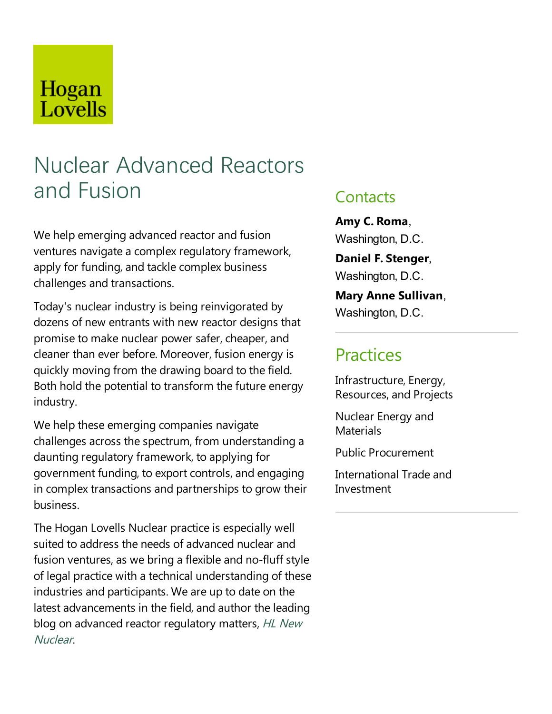## Hogan Lovells

# Nuclear Advanced Reactors and Fusion

We help emerging advanced reactor and fusion ventures navigate a complex regulatory framework, apply for funding, and tackle complex business challenges and transactions.

Today's nuclear industry is being reinvigorated by dozens of new entrants with new reactor designs that promise to make nuclear power safer, cheaper, and cleaner than ever before.Moreover, fusion energy is quickly moving from the drawing board to the field. Both hold the potential to transform the future energy industry.

We help these emerging companies navigate challenges across the spectrum, from understanding a daunting regulatory framework, to applying for government funding, to export controls, and engaging in complex transactions and partnerships to grow their business.

The Hogan Lovells Nuclear practice is especially well suited to address the needs of advanced nuclear and fusion ventures, as we bring a flexible and no-fluff style of legal practice with atechnical understanding of these industries and participants. We are up to date on the latest advancements in the field, and author the leading blog on advanced reactor regulatory matters, HL New Nuclear.

#### **Contacts**

**Amy C. Roma**, Washington, D.C.

**Daniel F. Stenger**, Washington, D.C.

**Mary Anne Sullivan**, Washington, D.C.

### **Practices**

Infrastructure, Energy, Resources,and Projects

Nuclear Energy and **Materials** 

Public Procurement

International Trade and Investment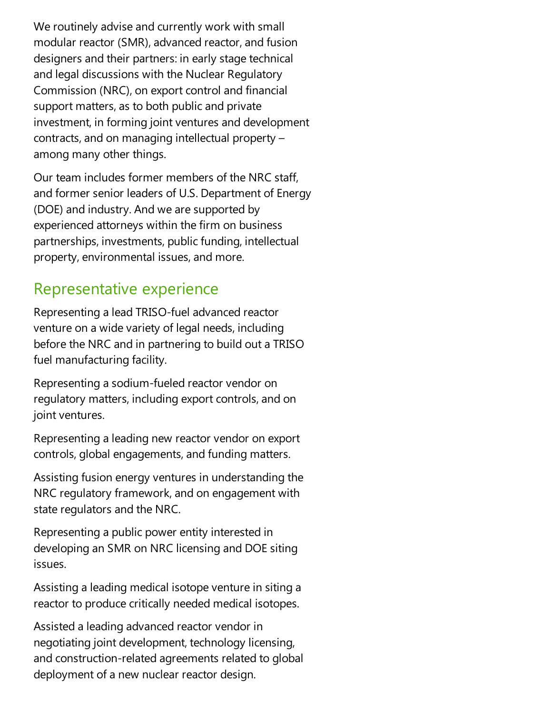We routinely advise and currently work with small modular reactor (SMR), advanced reactor, and fusion designers and their partners: in early stage technical and legal discussions with the Nuclear Regulatory Commission (NRC), on export control and financial support matters, as to both public and private investment, in forming joint ventures and development contracts, and on managing intellectual property  $$ among many other things.

Our team includes former members of the NRC staff, and former senior leaders of U.S. Department of Energy (DOE) and industry. And we are supported by experienced attorneys within the firm on business partnerships, investments, public funding, intellectual property, environmental issues, and more.

#### Representative experience

Representing alead TRISO-fuel advanced reactor venture on a wide variety of legal needs, including before the NRC and in partnering to build out a TRISO fuel manufacturing facility.

Representing asodium-fueled reactor vendor on regulatory matters, including export controls, and on joint ventures.

Representing aleading new reactor vendor on export controls, global engagements, and funding matters.

Assisting fusion energy ventures in understanding the NRC regulatory framework, and on engagement with state regulators and the NRC.

Representing a public power entity interested in developing an SMR on NRC licensing and DOE siting issues.

Assisting a leading medical isotope venture in siting a reactor to produce critically needed medical isotopes.

Assisted aleading advanced reactor vendor in negotiating joint development, technology licensing, and construction-related agreements related to global deployment of a new nuclear reactor design.